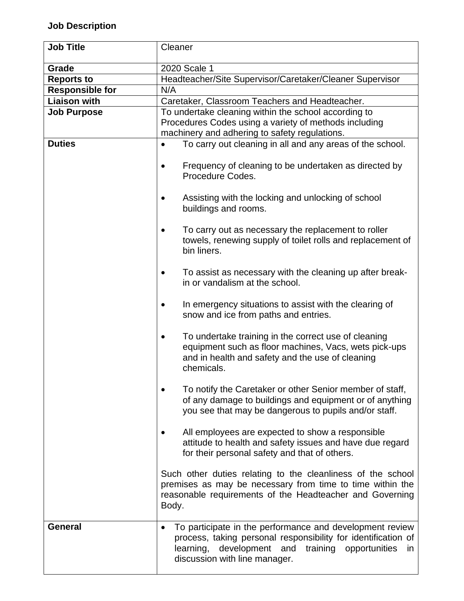## **Job Description**

| <b>Job Title</b>       | Cleaner                                                                                                                                                                                                                    |  |  |
|------------------------|----------------------------------------------------------------------------------------------------------------------------------------------------------------------------------------------------------------------------|--|--|
| Grade                  | 2020 Scale 1                                                                                                                                                                                                               |  |  |
| <b>Reports to</b>      | Headteacher/Site Supervisor/Caretaker/Cleaner Supervisor                                                                                                                                                                   |  |  |
| <b>Responsible for</b> | N/A                                                                                                                                                                                                                        |  |  |
| <b>Liaison with</b>    | Caretaker, Classroom Teachers and Headteacher.                                                                                                                                                                             |  |  |
| <b>Job Purpose</b>     | To undertake cleaning within the school according to                                                                                                                                                                       |  |  |
|                        | Procedures Codes using a variety of methods including                                                                                                                                                                      |  |  |
|                        | machinery and adhering to safety regulations.                                                                                                                                                                              |  |  |
| <b>Duties</b>          | To carry out cleaning in all and any areas of the school.                                                                                                                                                                  |  |  |
|                        | Frequency of cleaning to be undertaken as directed by<br>Procedure Codes.                                                                                                                                                  |  |  |
|                        | Assisting with the locking and unlocking of school<br>buildings and rooms.                                                                                                                                                 |  |  |
|                        | To carry out as necessary the replacement to roller<br>towels, renewing supply of toilet rolls and replacement of<br>bin liners.                                                                                           |  |  |
|                        | To assist as necessary with the cleaning up after break-<br>٠<br>in or vandalism at the school.                                                                                                                            |  |  |
|                        | In emergency situations to assist with the clearing of<br>snow and ice from paths and entries.                                                                                                                             |  |  |
|                        | To undertake training in the correct use of cleaning<br>equipment such as floor machines, Vacs, wets pick-ups<br>and in health and safety and the use of cleaning<br>chemicals.                                            |  |  |
|                        | To notify the Caretaker or other Senior member of staff,<br>of any damage to buildings and equipment or of anything<br>you see that may be dangerous to pupils and/or staff.                                               |  |  |
|                        | All employees are expected to show a responsible<br>attitude to health and safety issues and have due regard<br>for their personal safety and that of others.                                                              |  |  |
|                        | Such other duties relating to the cleanliness of the school<br>premises as may be necessary from time to time within the<br>reasonable requirements of the Headteacher and Governing<br>Body.                              |  |  |
| <b>General</b>         | To participate in the performance and development review<br>process, taking personal responsibility for identification of<br>development and<br>training opportunities<br>learning,<br>in<br>discussion with line manager. |  |  |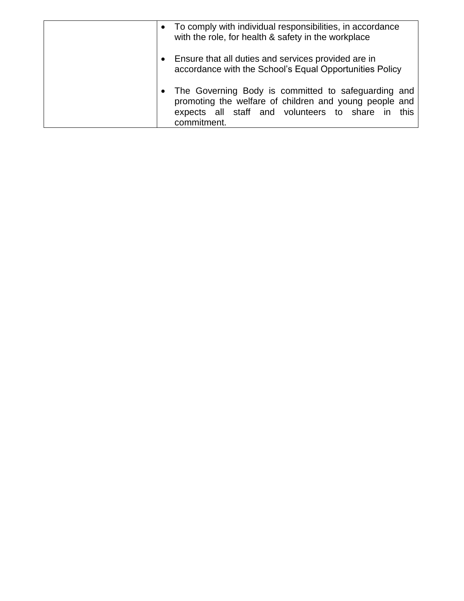| • To comply with individual responsibilities, in accordance<br>with the role, for health & safety in the workplace                                                                |
|-----------------------------------------------------------------------------------------------------------------------------------------------------------------------------------|
| Ensure that all duties and services provided are in<br>accordance with the School's Equal Opportunities Policy                                                                    |
| The Governing Body is committed to safeguarding and<br>promoting the welfare of children and young people and<br>expects all staff and volunteers to share in this<br>commitment. |